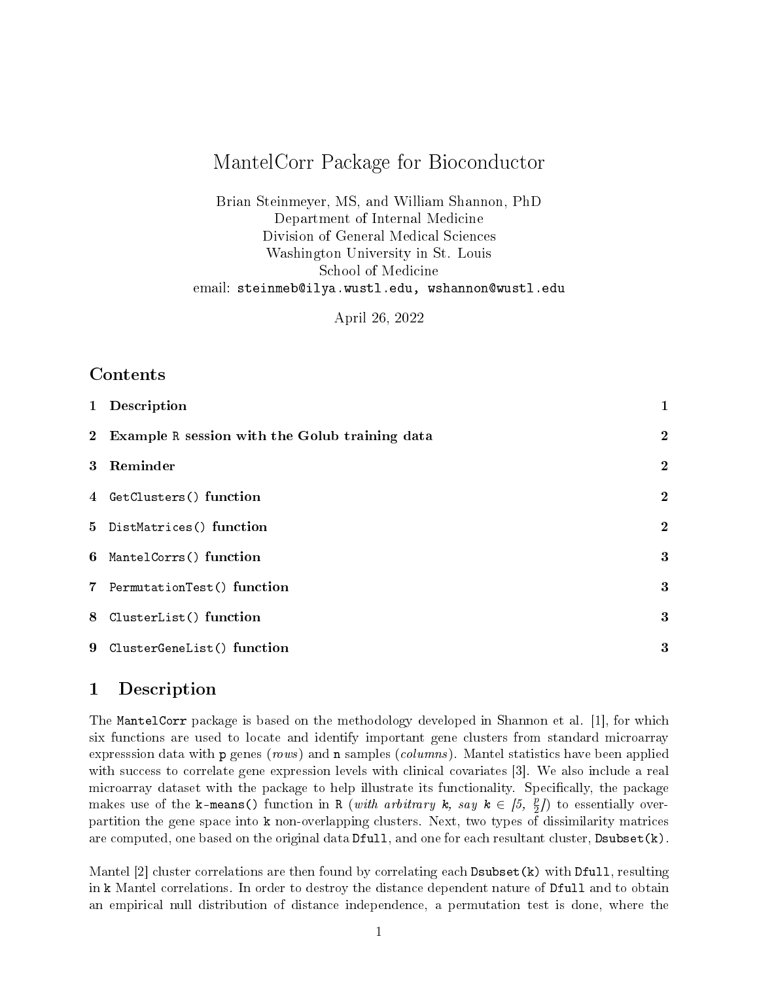# MantelCorr Package for Bioconductor

Brian Steinmeyer, MS, and William Shannon, PhD Department of Internal Medicine Division of General Medical Sciences Washington University in St. Louis School of Medicine email: steinmeb@ilya.wustl.edu, wshannon@wustl.edu

April 26, 2022

### Contents

| 1 Description                                    | 1                |
|--------------------------------------------------|------------------|
| 2 Example R session with the Golub training data | $\boldsymbol{2}$ |
| 3 Reminder                                       | $\boldsymbol{2}$ |
| 4 GetClusters() function                         | $\mathbf{2}$     |
| 5 DistMatrices() function                        | $\bf{2}$         |
| 6 MantelCorrs() function                         | 3                |
| 7 PermutationTest() function                     | 3                |
| 8 ClusterList() function                         | 3                |
| 9 ClusterGeneList() function                     | 3                |

# 1 Description

The MantelCorr package is based on the methodology developed in Shannon et al. [1], for which six functions are used to locate and identify important gene clusters from standard microarray expresssion data with p genes (rows) and n samples (columns). Mantel statistics have been applied with success to correlate gene expression levels with clinical covariates [3]. We also include a real microarray dataset with the package to help illustrate its functionality. Specifically, the package makes use of the k-means() function in R (*with arbitrary*  $k$ , say  $k \in [5, \frac{p}{2}]$ ) to essentially overpartition the gene space into k non-overlapping clusters. Next, two types of dissimilarity matrices are computed, one based on the original data Dfull, and one for each resultant cluster, Dsubset(k).

Mantel [2] cluster correlations are then found by correlating each Dsubset (k) with Dfull, resulting in k Mantel correlations. In order to destroy the distance dependent nature of Dfull and to obtain an empirical null distribution of distance independence, a permutation test is done, where the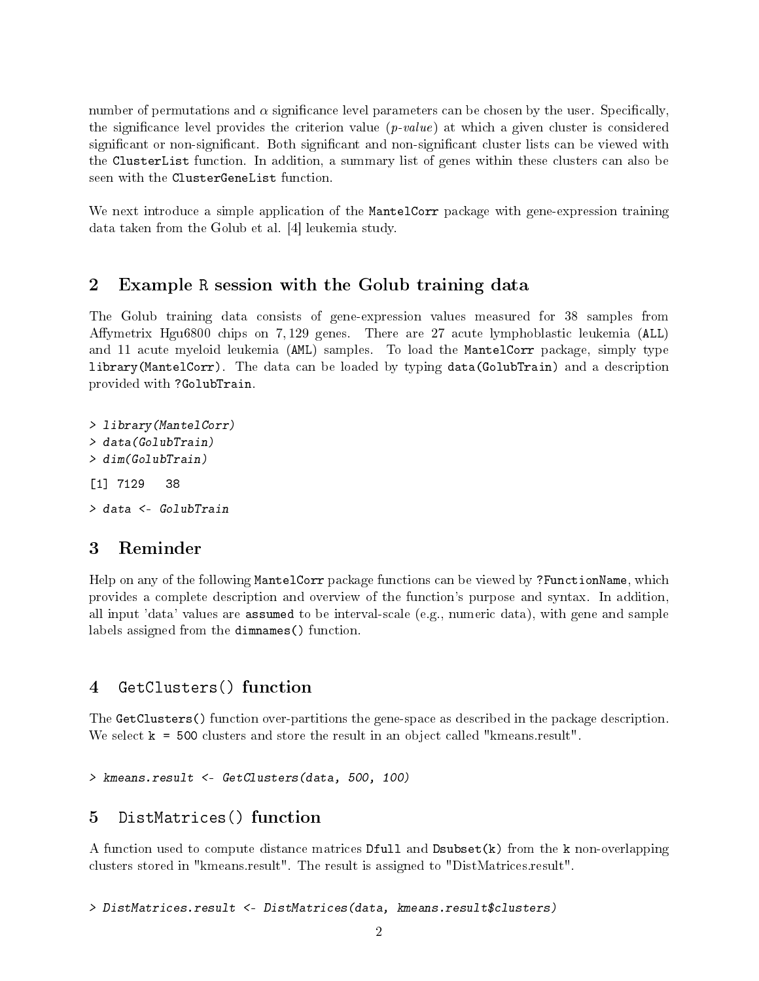number of permutations and  $\alpha$  significance level parameters can be chosen by the user. Specifically, the significance level provides the criterion value  $(p-value)$  at which a given cluster is considered significant or non-significant. Both significant and non-significant cluster lists can be viewed with the ClusterList function. In addition, a summary list of genes within these clusters can also be seen with the ClusterGeneList function.

We next introduce a simple application of the MantelCorr package with gene-expression training data taken from the Golub et al. [4] leukemia study.

#### 2 Example R session with the Golub training data

The Golub training data consists of gene-expression values measured for 38 samples from Affymetrix Hgu6800 chips on 7,129 genes. There are 27 acute lymphoblastic leukemia (ALL) and 11 acute myeloid leukemia (AML) samples. To load the MantelCorr package, simply type library(MantelCorr). The data can be loaded by typing data(GolubTrain) and a description provided with ?GolubTrain.

> library(MantelCorr) > data(GolubTrain) > dim(GolubTrain) [1] 7129 38 > data <- GolubTrain

#### 3 Reminder

Help on any of the following MantelCorr package functions can be viewed by ?FunctionName, which provides a complete description and overview of the function's purpose and syntax. In addition, all input 'data' values are assumed to be interval-scale (e.g., numeric data), with gene and sample labels assigned from the dimnames() function.

#### 4 GetClusters() function

The GetClusters() function over-partitions the gene-space as described in the package description. We select  $k = 500$  clusters and store the result in an object called "kmeans.result".

> kmeans.result <- GetClusters(data, 500, 100)

### 5 DistMatrices() function

A function used to compute distance matrices Dfull and Dsubset(k) from the k non-overlapping clusters stored in "kmeans.result". The result is assigned to "DistMatrices.result".

> DistMatrices.result <- DistMatrices(data, kmeans.result\$clusters)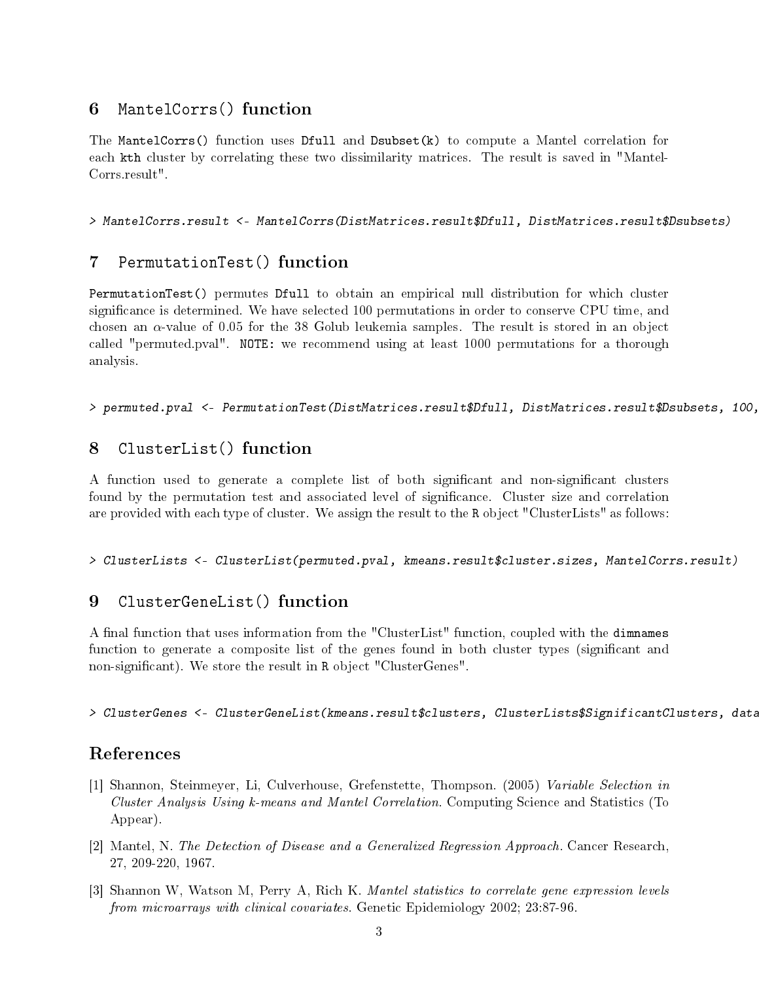#### 6 MantelCorrs() function

The MantelCorrs() function uses Dfull and Dsubset(k) to compute a Mantel correlation for each kth cluster by correlating these two dissimilarity matrices. The result is saved in "Mantel-Corrs.result".

> MantelCorrs.result <- MantelCorrs(DistMatrices.result\$Dfull, DistMatrices.result\$Dsubsets)

#### 7 PermutationTest() function

PermutationTest() permutes Dfull to obtain an empirical null distribution for which cluster significance is determined. We have selected 100 permutations in order to conserve CPU time, and chosen an  $\alpha$ -value of 0.05 for the 38 Golub leukemia samples. The result is stored in an object called "permuted.pval". NOTE: we recommend using at least 1000 permutations for a thorough analysis.

> permuted.pval <- PermutationTest(DistMatrices.result\$Dfull, DistMatrices.result\$Dsubsets, 100, 38, 0.05)

### 8 ClusterList() function

A function used to generate a complete list of both significant and non-significant clusters found by the permutation test and associated level of signicance. Cluster size and correlation are provided with each type of cluster. We assign the result to the R object "ClusterLists" as follows:

> ClusterLists <- ClusterList(permuted.pval, kmeans.result\$cluster.sizes, MantelCorrs.result)

#### 9 ClusterGeneList() function

A final function that uses information from the "ClusterList" function, coupled with the dimnames function to generate a composite list of the genes found in both cluster types (significant and non-significant). We store the result in R object "ClusterGenes".

> ClusterGenes <- ClusterGeneList(kmeans.result\$clusters, ClusterLists\$SignificantClusters, data)

# References

- [1] Shannon, Steinmeyer, Li, Culverhouse, Grefenstette, Thompson. (2005) Variable Selection in Cluster Analysis Using k-means and Mantel Correlation. Computing Science and Statistics (To Appear).
- [2] Mantel, N. The Detection of Disease and a Generalized Regression Approach. Cancer Research, 27, 209-220, 1967.
- [3] Shannon W, Watson M, Perry A, Rich K. Mantel statistics to correlate gene expression levels from microarrays with clinical covariates. Genetic Epidemiology 2002; 23:87-96.